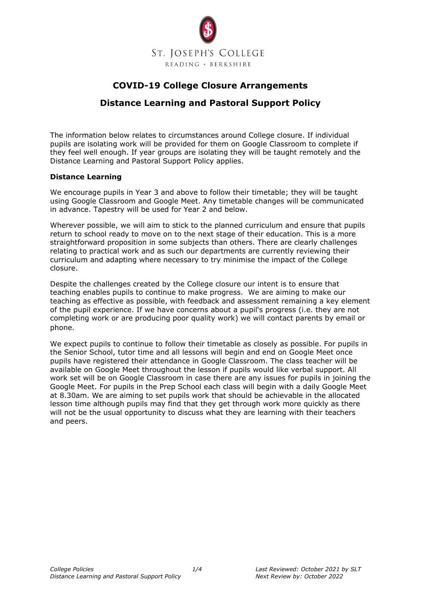

# **COVID-19 College Closure Arrangements**

# **Distance Learning and Pastoral Support Policy**

The information below relates to circumstances around College closure. If individual pupils are isolating work will be provided for them on Google Classroom to complete if they feel well enough. If year groups are isolating they will be taught remotely and the Distance Learning and Pastoral Support Policy applies.

#### **Distance Learning**

We encourage pupils in Year 3 and above to follow their timetable; they will be taught using Google Classroom and Google Meet. Any timetable changes will be communicated in advance. Tapestry will be used for Year 2 and below.

Wherever possible, we will aim to stick to the planned curriculum and ensure that pupils return to school ready to move on to the next stage of their education. This is a more straightforward proposition in some subjects than others. There are clearly challenges relating to practical work and as such our departments are currently reviewing their curriculum and adapting where necessary to try minimise the impact of the College closure.

Despite the challenges created by the College closure our intent is to ensure that teaching enables pupils to continue to make progress. We are aiming to make our teaching as effective as possible, with feedback and assessment remaining a key element of the pupil experience. If we have concerns about a pupil's progress (i.e. they are not completing work or are producing poor quality work) we will contact parents by email or phone.

We expect pupils to continue to follow their timetable as closely as possible. For pupils in the Senior School, tutor time and all lessons will begin and end on Google Meet once pupils have registered their attendance in Google Classroom. The class teacher will be available on Google Meet throughout the lesson if pupils would like verbal support. All work set will be on Google Classroom in case there are any issues for pupils in joining the Google Meet. For pupils in the Prep School each class will begin with a daily Google Meet at 8.30am. We are aiming to set pupils work that should be achievable in the allocated lesson time although pupils may find that they get through work more quickly as there will not be the usual opportunity to discuss what they are learning with their teachers and peers.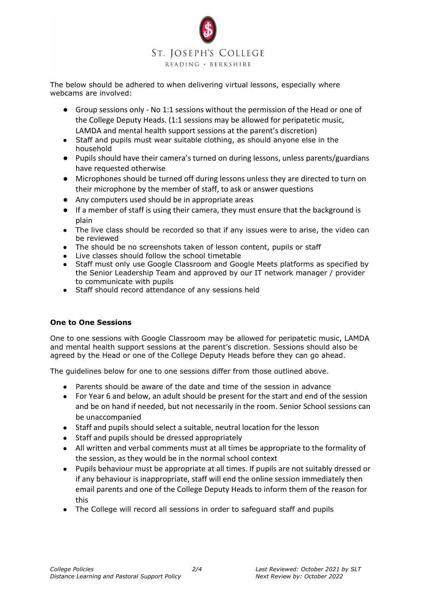

The below should be adhered to when delivering virtual lessons, especially where webcams are involved:

- Group sessions only No 1:1 sessions without the permission of the Head or one of the College Deputy Heads. (1:1 sessions may be allowed for peripatetic music, LAMDA and mental health support sessions at the parent's discretion)
- Staff and pupils must wear suitable clothing, as should anyone else in the household
- Pupils should have their camera's turned on during lessons, unless parents/guardians have requested otherwise
- Microphones should be turned off during lessons unless they are directed to turn on their microphone by the member of staff, to ask or answer questions
- Any computers used should be in appropriate areas
- If a member of staff is using their camera, they must ensure that the background is plain
- The live class should be recorded so that if any issues were to arise, the video can be reviewed
- The should be no screenshots taken of lesson content, pupils or staff
- Live classes should follow the school timetable
- Staff must only use Google Classroom and Google Meets platforms as specified by the Senior Leadership Team and approved by our IT network manager / provider to communicate with pupils
- Staff should record attendance of any sessions held

## **One to One Sessions**

One to one sessions with Google Classroom may be allowed for peripatetic music, LAMDA and mental health support sessions at the parent's discretion. Sessions should also be agreed by the Head or one of the College Deputy Heads before they can go ahead.

The guidelines below for one to one sessions differ from those outlined above.

- Parents should be aware of the date and time of the session in advance
- For Year 6 and below, an adult should be present for the start and end of the session and be on hand if needed, but not necessarily in the room. Senior School sessions can be unaccompanied
- Staff and pupils should select a suitable, neutral location for the lesson
- Staff and pupils should be dressed appropriately
- All written and verbal comments must at all times be appropriate to the formality of the session, as they would be in the normal school context
- Pupils behaviour must be appropriate at all times. If pupils are not suitably dressed or if any behaviour is inappropriate, staff will end the online session immediately then email parents and one of the College Deputy Heads to inform them of the reason for this
- The College will record all sessions in order to safeguard staff and pupils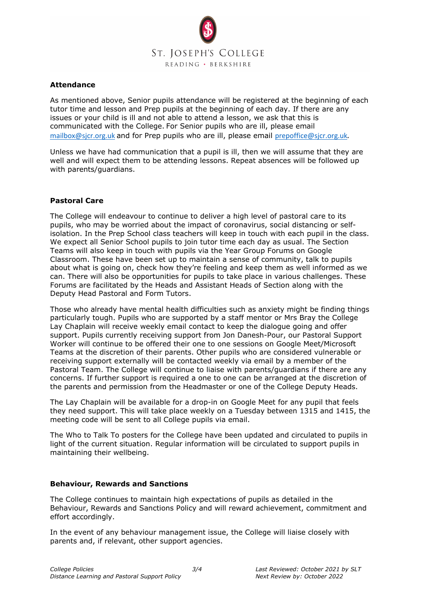

#### **Attendance**

As mentioned above, Senior pupils attendance will be registered at the beginning of each tutor time and lesson and Prep pupils at the beginning of each day. If there are any issues or your child is ill and not able to attend a lesson, we ask that this is communicated with the College. For Senior pupils who are ill, please email [mailbox@sjcr.org.uk](mailto:mailbox@sjcr.org.uk) and for Prep pupils who are ill, please email [prepoffice@sjcr.org.uk](mailto:prepoffice@sjcr.org.uk).

Unless we have had communication that a pupil is ill, then we will assume that they are well and will expect them to be attending lessons. Repeat absences will be followed up with parents/guardians.

#### **Pastoral Care**

The College will endeavour to continue to deliver a high level of pastoral care to its pupils, who may be worried about the impact of coronavirus, social distancing or selfisolation. In the Prep School class teachers will keep in touch with each pupil in the class. We expect all Senior School pupils to join tutor time each day as usual. The Section Teams will also keep in touch with pupils via the Year Group Forums on Google Classroom. These have been set up to maintain a sense of community, talk to pupils about what is going on, check how they're feeling and keep them as well informed as we can. There will also be opportunities for pupils to take place in various challenges. These Forums are facilitated by the Heads and Assistant Heads of Section along with the Deputy Head Pastoral and Form Tutors.

Those who already have mental health difficulties such as anxiety might be finding things particularly tough. Pupils who are supported by a staff mentor or Mrs Bray the College Lay Chaplain will receive weekly email contact to keep the dialogue going and offer support. Pupils currently receiving support from Jon Danesh-Pour, our Pastoral Support Worker will continue to be offered their one to one sessions on Google Meet/Microsoft Teams at the discretion of their parents. Other pupils who are considered vulnerable or receiving support externally will be contacted weekly via email by a member of the Pastoral Team. The College will continue to liaise with parents/guardians if there are any concerns. If further support is required a one to one can be arranged at the discretion of the parents and permission from the Headmaster or one of the College Deputy Heads.

The Lay Chaplain will be available for a drop-in on Google Meet for any pupil that feels they need support. This will take place weekly on a Tuesday between 1315 and 1415, the meeting code will be sent to all College pupils via email.

The Who to Talk To posters for the College have been updated and circulated to pupils in light of the current situation. Regular information will be circulated to support pupils in maintaining their wellbeing.

#### **Behaviour, Rewards and Sanctions**

The College continues to maintain high expectations of pupils as detailed in the Behaviour, Rewards and Sanctions Policy and will reward achievement, commitment and effort accordingly.

In the event of any behaviour management issue, the College will liaise closely with parents and, if relevant, other support agencies.